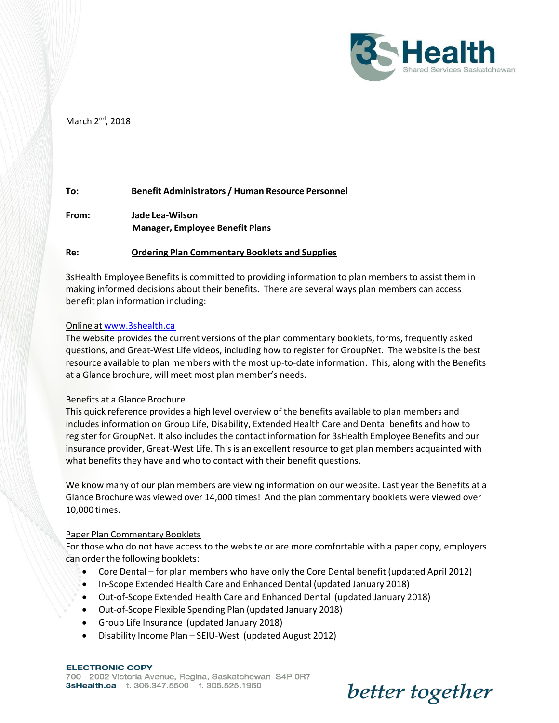

March 2<sup>nd</sup>, 2018

### **To: Benefit Administrators / Human Resource Personnel**

**From: Jade Lea-Wilson Manager, Employee Benefit Plans**

### **Re: Ordering Plan Commentary Booklets and Supplies**

3sHealth Employee Benefitsis committed to providing information to plan members to assist them in making informed decisions about their benefits. There are several ways plan members can access benefit plan information including:

### Online at [www.3shealth.ca](http://www.3shealth.ca/)

The website provides the current versions of the plan commentary booklets, forms, frequently asked questions, and Great-West Life videos, including how to register for GroupNet. The website is the best resource available to plan members with the most up-to-date information. This, along with the Benefits at a Glance brochure, will meet most plan member's needs.

### Benefits at a Glance Brochure

This quick reference provides a high level overview of the benefits available to plan members and includesinformation on Group Life, Disability, Extended Health Care and Dental benefits and how to register for GroupNet. It also includes the contact information for 3sHealth Employee Benefits and our insurance provider, Great-West Life. This is an excellent resource to get plan members acquainted with what benefits they have and who to contact with their benefit questions.

We know many of our plan members are viewing information on our website. Last year the Benefits at a Glance Brochure was viewed over 14,000 times! And the plan commentary booklets were viewed over 10,000 times.

### Paper Plan Commentary Booklets

For those who do not have access to the website or are more comfortable with a paper copy, employers can order the following booklets:

- Core Dental for plan members who have only the Core Dental benefit (updated April 2012)
- In-Scope Extended Health Care and Enhanced Dental (updated January 2018)
- Out-of-Scope Extended Health Care and Enhanced Dental (updated January 2018)
- Out-of-Scope Flexible Spending Plan (updated January 2018)
- Group Life Insurance (updated January 2018)
- Disability Income Plan SEIU-West (updated August 2012)

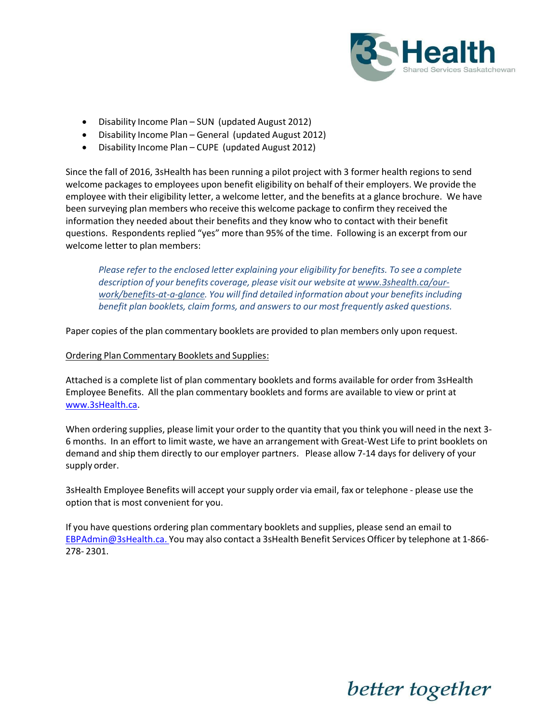

- Disability Income Plan SUN (updated August 2012)
- Disability Income Plan General (updated August 2012)
- Disability Income Plan CUPE (updated August 2012)

Since the fall of 2016, 3sHealth has been running a pilot project with 3 former health regions to send welcome packages to employees upon benefit eligibility on behalf of their employers. We provide the employee with their eligibility letter, a welcome letter, and the benefits at a glance brochure. We have been surveying plan members who receive this welcome package to confirm they received the information they needed about their benefits and they know who to contact with their benefit questions. Respondents replied "yes" more than 95% of the time. Following is an excerpt from our welcome letter to plan members:

*Please refer to the enclosed letter explaining your eligibility for benefits. To see a complete description of your benefits coverage, please visit our website at [www.3shealth.ca/our](http://www.3shealth.ca/our-)work/benefits-at-a-glance. You will find detailed information about your benefitsincluding benefit plan booklets, claim forms, and answers to our most frequently asked questions.*

Paper copies of the plan commentary booklets are provided to plan members only upon request.

### Ordering Plan Commentary Booklets and Supplies:

Attached is a complete list of plan commentary booklets and forms available for order from 3sHealth Employee Benefits. All the plan commentary booklets and forms are available to view or print at [www.3sHealth.ca.](http://www.3shealth.ca/)

When ordering supplies, please limit your order to the quantity that you think you will need in the next 3- 6 months. In an effort to limit waste, we have an arrangement with Great-West Life to print booklets on demand and ship them directly to our employer partners. Please allow 7-14 days for delivery of your supply order.

3sHealth Employee Benefits will accept your supply order via email, fax or telephone - please use the option that is most convenient for you.

If you have questions ordering plan commentary booklets and supplies, please send an email to [EBPAdmin@3sHealth.ca.](mailto:EBPAdmin@3sHealth.ca.) You may also contact a 3sHealth Benefit Services Officer by telephone at 1-866-278- 2301.

## better together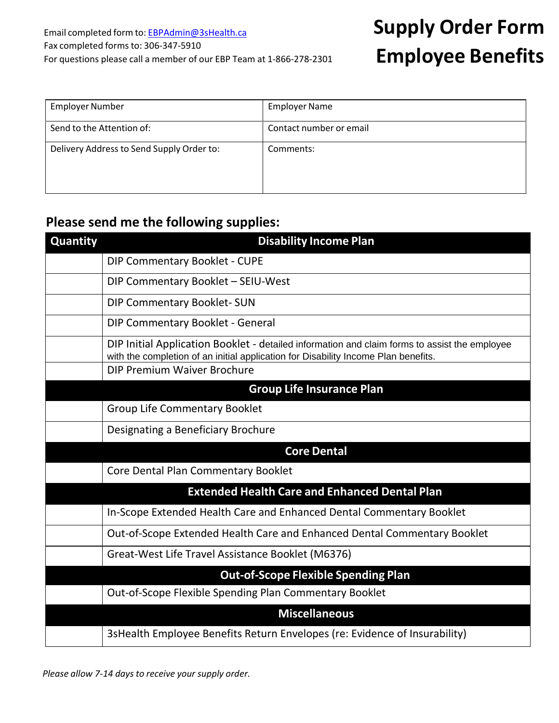Email completed form to: [EBPAdmin@3sHealth.ca](mailto:3sHealtEBPAdmin@3sHealth.ca) Fax completed forms to: 306-347-5910 For questions please call a member of our EBP Team at 1-866-278-2301

# **Supply Order Form Employee Benefits**

| <b>Employer Number</b>                    | <b>Employer Name</b>    |
|-------------------------------------------|-------------------------|
| Send to the Attention of:                 | Contact number or email |
| Delivery Address to Send Supply Order to: | Comments:               |

### **Please send me the following supplies:**

| Quantity                         | <b>Disability Income Plan</b>                                                                                                                                                       |
|----------------------------------|-------------------------------------------------------------------------------------------------------------------------------------------------------------------------------------|
|                                  | DIP Commentary Booklet - CUPE                                                                                                                                                       |
|                                  | DIP Commentary Booklet - SEIU-West                                                                                                                                                  |
|                                  | <b>DIP Commentary Booklet-SUN</b>                                                                                                                                                   |
|                                  | DIP Commentary Booklet - General                                                                                                                                                    |
|                                  | DIP Initial Application Booklet - detailed information and claim forms to assist the employee<br>with the completion of an initial application for Disability Income Plan benefits. |
|                                  | DIP Premium Waiver Brochure                                                                                                                                                         |
| <b>Group Life Insurance Plan</b> |                                                                                                                                                                                     |
|                                  | <b>Group Life Commentary Booklet</b>                                                                                                                                                |
|                                  | Designating a Beneficiary Brochure                                                                                                                                                  |
|                                  | <b>Core Dental</b>                                                                                                                                                                  |
|                                  | Core Dental Plan Commentary Booklet                                                                                                                                                 |
|                                  | <b>Extended Health Care and Enhanced Dental Plan</b>                                                                                                                                |
|                                  | In-Scope Extended Health Care and Enhanced Dental Commentary Booklet                                                                                                                |
|                                  | Out-of-Scope Extended Health Care and Enhanced Dental Commentary Booklet                                                                                                            |
|                                  | Great-West Life Travel Assistance Booklet (M6376)                                                                                                                                   |
|                                  | <b>Out-of-Scope Flexible Spending Plan</b>                                                                                                                                          |
|                                  | Out-of-Scope Flexible Spending Plan Commentary Booklet                                                                                                                              |
|                                  | <b>Miscellaneous</b>                                                                                                                                                                |
|                                  | 3sHealth Employee Benefits Return Envelopes (re: Evidence of Insurability)                                                                                                          |

*Please allow 7-14 days to receive your supply order.*